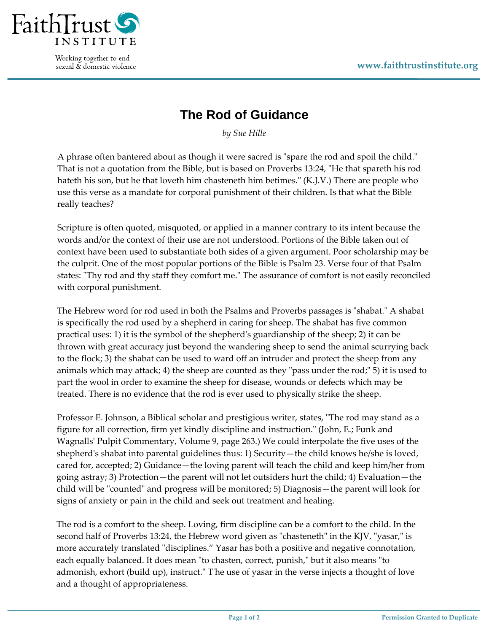

Working together to end sexual & domestic violence

## **The Rod of Guidance**

*by Sue Hille*

A phrase often bantered about as though it were sacred is "spare the rod and spoil the child." That is not a quotation from the Bible, but is based on Proverbs 13:24, "He that spareth his rod hateth his son, but he that loveth him chasteneth him betimes." (K.J.V.) There are people who use this verse as a mandate for corporal punishment of their children. Is that what the Bible really teaches?

Scripture is often quoted, misquoted, or applied in a manner contrary to its intent because the words and/or the context of their use are not understood. Portions of the Bible taken out of context have been used to substantiate both sides of a given argument. Poor scholarship may be the culprit. One of the most popular portions of the Bible is Psalm 23. Verse four of that Psalm states: "Thy rod and thy staff they comfort me." The assurance of comfort is not easily reconciled with corporal punishment.

The Hebrew word for rod used in both the Psalms and Proverbs passages is "shabat." A shabat is specifically the rod used by a shepherd in caring for sheep. The shabat has five common practical uses: 1) it is the symbol of the shepherdʹs guardianship of the sheep; 2) it can be thrown with great accuracy just beyond the wandering sheep to send the animal scurrying back to the flock; 3) the shabat can be used to ward off an intruder and protect the sheep from any animals which may attack; 4) the sheep are counted as they "pass under the rod;" 5) it is used to part the wool in order to examine the sheep for disease, wounds or defects which may be treated. There is no evidence that the rod is ever used to physically strike the sheep.

Professor E. Johnson, a Biblical scholar and prestigious writer, states, "The rod may stand as a figure for all correction, firm yet kindly discipline and instruction." (John, E.; Funk and Wagnallsʹ Pulpit Commentary, Volume 9, page 263.) We could interpolate the five uses of the shepherd's shabat into parental guidelines thus: 1) Security—the child knows he/she is loved, cared for, accepted; 2) Guidance—the loving parent will teach the child and keep him/her from going astray; 3) Protection—the parent will not let outsiders hurt the child; 4) Evaluation—the child will be "counted" and progress will be monitored; 5) Diagnosis—the parent will look for signs of anxiety or pain in the child and seek out treatment and healing.

The rod is a comfort to the sheep. Loving, firm discipline can be a comfort to the child. In the second half of Proverbs 13:24, the Hebrew word given as "chasteneth" in the KJV, "yasar," is more accurately translated "disciplines." Yasar has both a positive and negative connotation, each equally balanced. It does mean "to chasten, correct, punish," but it also means "to admonish, exhort (build up), instruct. The use of yasar in the verse injects a thought of love and a thought of appropriateness.